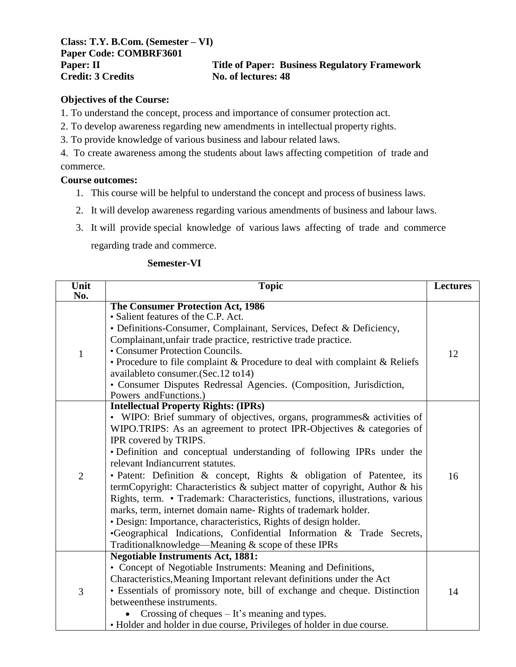**Class: T.Y. B.Com. (Semester – VI) Paper Code: COMBRF3601 Credit: 3 Credits No. of lectures: 48**

# **Paper: II Title of Paper: Business Regulatory Framework**

# **Objectives of the Course:**

1. To understand the concept, process and importance of consumer protection act.

2. To develop awareness regarding new amendments in intellectual property rights.

3. To provide knowledge of various business and labour related laws.

4. To create awareness among the students about laws affecting competition of trade and commerce.

# **Course outcomes:**

- 1. This course will be helpful to understand the concept and process of business laws.
- 2. It will develop awareness regarding various amendments of business and labour laws.
- 3. It will provide special knowledge of various laws affecting of trade and commerce regarding trade and commerce.

# **Semester-VI**

| Unit           | <b>Topic</b>                                                                                              | <b>Lectures</b> |
|----------------|-----------------------------------------------------------------------------------------------------------|-----------------|
| No.            | <b>The Consumer Protection Act, 1986</b>                                                                  |                 |
|                | • Salient features of the C.P. Act.                                                                       |                 |
|                | • Definitions-Consumer, Complainant, Services, Defect & Deficiency,                                       |                 |
|                | Complainant, unfair trade practice, restrictive trade practice.                                           |                 |
|                | • Consumer Protection Councils.                                                                           |                 |
| $\mathbf{1}$   |                                                                                                           | 12              |
|                | • Procedure to file complaint & Procedure to deal with complaint & Reliefs                                |                 |
|                | available to consumer. (Sec. 12 to 14)                                                                    |                 |
|                | • Consumer Disputes Redressal Agencies. (Composition, Jurisdiction,<br>Powers and Functions.)             |                 |
|                | <b>Intellectual Property Rights: (IPRs)</b>                                                               |                 |
|                | • WIPO: Brief summary of objectives, organs, programmes & activities of                                   |                 |
|                | WIPO.TRIPS: As an agreement to protect IPR-Objectives & categories of                                     |                 |
|                | IPR covered by TRIPS.                                                                                     |                 |
|                |                                                                                                           |                 |
|                | • Definition and conceptual understanding of following IPRs under the<br>relevant Indiancurrent statutes. | 16              |
|                |                                                                                                           |                 |
| $\overline{2}$ | · Patent: Definition & concept, Rights & obligation of Patentee, its                                      |                 |
|                | termCopyright: Characteristics & subject matter of copyright, Author & his                                |                 |
|                | Rights, term. • Trademark: Characteristics, functions, illustrations, various                             |                 |
|                | marks, term, internet domain name- Rights of trademark holder.                                            |                 |
|                | · Design: Importance, characteristics, Rights of design holder.                                           |                 |
|                | •Geographical Indications, Confidential Information & Trade Secrets,                                      |                 |
|                | Traditionalknowledge—Meaning & scope of these IPRs                                                        |                 |
|                | <b>Negotiable Instruments Act, 1881:</b>                                                                  |                 |
|                | • Concept of Negotiable Instruments: Meaning and Definitions,                                             |                 |
| 3              | Characteristics, Meaning Important relevant definitions under the Act                                     |                 |
|                | • Essentials of promissory note, bill of exchange and cheque. Distinction                                 | 14              |
|                | betweenthese instruments.                                                                                 |                 |
|                | Crossing of cheques $-$ It's meaning and types.                                                           |                 |
|                | • Holder and holder in due course, Privileges of holder in due course.                                    |                 |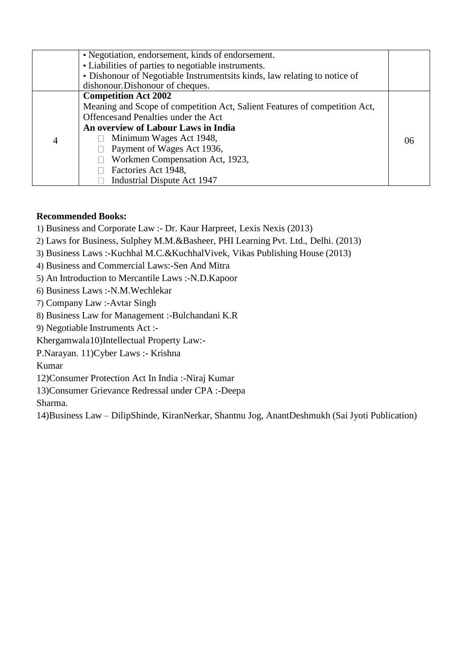|   | • Negotiation, endorsement, kinds of endorsement.                          |     |
|---|----------------------------------------------------------------------------|-----|
|   | • Liabilities of parties to negotiable instruments.                        |     |
|   | • Dishonour of Negotiable Instrumentsits kinds, law relating to notice of  |     |
|   | dishonour. Dishonour of cheques.                                           |     |
|   | <b>Competition Act 2002</b>                                                |     |
|   | Meaning and Scope of competition Act, Salient Features of competition Act, |     |
|   | Offences and Penalties under the Act                                       |     |
|   | An overview of Labour Laws in India                                        |     |
| 4 | Minimum Wages Act 1948,                                                    | (6) |
|   | Payment of Wages Act 1936,                                                 |     |
|   | Workmen Compensation Act, 1923,                                            |     |
|   | Factories Act 1948,                                                        |     |
|   | Industrial Dispute Act 1947                                                |     |

# **Recommended Books:**

- 1) Business and Corporate Law :- Dr. Kaur Harpreet, Lexis Nexis (2013)
- 2) Laws for Business, Sulphey M.M.&Basheer, PHI Learning Pvt. Ltd., Delhi. (2013)
- 3) Business Laws :-Kuchhal M.C.&KuchhalVivek, Vikas Publishing House (2013)
- 4) Business and Commercial Laws:-Sen And Mitra
- 5) An Introduction to Mercantile Laws :-N.D.Kapoor
- 6) Business Laws :-N.M.Wechlekar
- 7) Company Law :-Avtar Singh
- 8) Business Law for Management :-Bulchandani K.R
- 9) Negotiable Instruments Act :-

Khergamwala10)Intellectual Property Law:-

P.Narayan. 11)Cyber Laws :- Krishna

Kumar

12)Consumer Protection Act In India :-Niraj Kumar

13)Consumer Grievance Redressal under CPA :-Deepa

Sharma.

14)Business Law – DilipShinde, KiranNerkar, Shantnu Jog, AnantDeshmukh (Sai Jyoti Publication)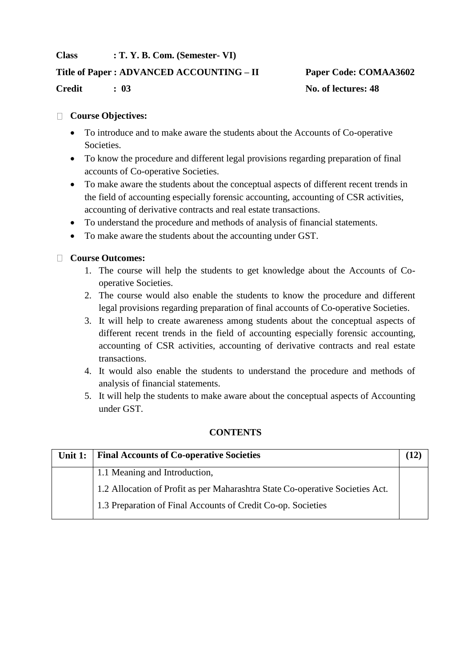# **Class : T. Y. B. Com. (Semester- VI)**

# **Title of Paper : ADVANCED ACCOUNTING – II Paper Code: COMAA3602**

**Credit : 03 No. of lectures: 48**

# **Course Objectives:**

- To introduce and to make aware the students about the Accounts of Co-operative Societies.
- To know the procedure and different legal provisions regarding preparation of final accounts of Co-operative Societies.
- To make aware the students about the conceptual aspects of different recent trends in the field of accounting especially forensic accounting, accounting of CSR activities, accounting of derivative contracts and real estate transactions.
- To understand the procedure and methods of analysis of financial statements.
- To make aware the students about the accounting under GST.

# **Course Outcomes:**

- 1. The course will help the students to get knowledge about the Accounts of Cooperative Societies.
- 2. The course would also enable the students to know the procedure and different legal provisions regarding preparation of final accounts of Co-operative Societies.
- 3. It will help to create awareness among students about the conceptual aspects of different recent trends in the field of accounting especially forensic accounting, accounting of CSR activities, accounting of derivative contracts and real estate transactions.
- 4. It would also enable the students to understand the procedure and methods of analysis of financial statements.
- 5. It will help the students to make aware about the conceptual aspects of Accounting under GST.

# **CONTENTS**

| Unit $1:$ | <b>Final Accounts of Co-operative Societies</b>                               |  |
|-----------|-------------------------------------------------------------------------------|--|
|           | 1.1 Meaning and Introduction,                                                 |  |
|           | 1.2 Allocation of Profit as per Maharashtra State Co-operative Societies Act. |  |
|           | 1.3 Preparation of Final Accounts of Credit Co-op. Societies                  |  |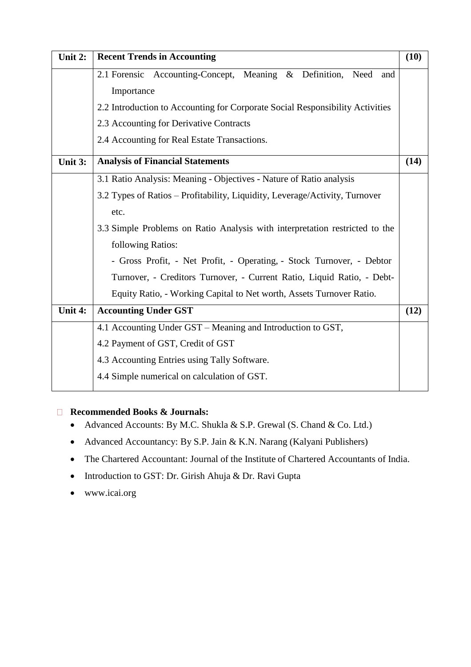| Unit 2: | <b>Recent Trends in Accounting</b>                                            | (10) |
|---------|-------------------------------------------------------------------------------|------|
|         | 2.1 Forensic Accounting-Concept, Meaning & Definition, Need<br>and            |      |
|         | Importance                                                                    |      |
|         | 2.2 Introduction to Accounting for Corporate Social Responsibility Activities |      |
|         | 2.3 Accounting for Derivative Contracts                                       |      |
|         | 2.4 Accounting for Real Estate Transactions.                                  |      |
| Unit 3: | <b>Analysis of Financial Statements</b>                                       | (14) |
|         | 3.1 Ratio Analysis: Meaning - Objectives - Nature of Ratio analysis           |      |
|         | 3.2 Types of Ratios - Profitability, Liquidity, Leverage/Activity, Turnover   |      |
|         | etc.                                                                          |      |
|         | 3.3 Simple Problems on Ratio Analysis with interpretation restricted to the   |      |
|         | following Ratios:                                                             |      |
|         | - Gross Profit, - Net Profit, - Operating, - Stock Turnover, - Debtor         |      |
|         | Turnover, - Creditors Turnover, - Current Ratio, Liquid Ratio, - Debt-        |      |
|         | Equity Ratio, - Working Capital to Net worth, Assets Turnover Ratio.          |      |
| Unit 4: | <b>Accounting Under GST</b>                                                   | (12) |
|         | 4.1 Accounting Under GST – Meaning and Introduction to GST,                   |      |
|         | 4.2 Payment of GST, Credit of GST                                             |      |
|         | 4.3 Accounting Entries using Tally Software.                                  |      |
|         | 4.4 Simple numerical on calculation of GST.                                   |      |

# **Recommended Books & Journals:**

- Advanced Accounts: By M.C. Shukla & S.P. Grewal (S. Chand & Co. Ltd.)
- Advanced Accountancy: By S.P. Jain & K.N. Narang (Kalyani Publishers)
- The Chartered Accountant: Journal of the Institute of Chartered Accountants of India.
- Introduction to GST: Dr. Girish Ahuja & Dr. Ravi Gupta
- [www.icai.org](http://www.icai.org/)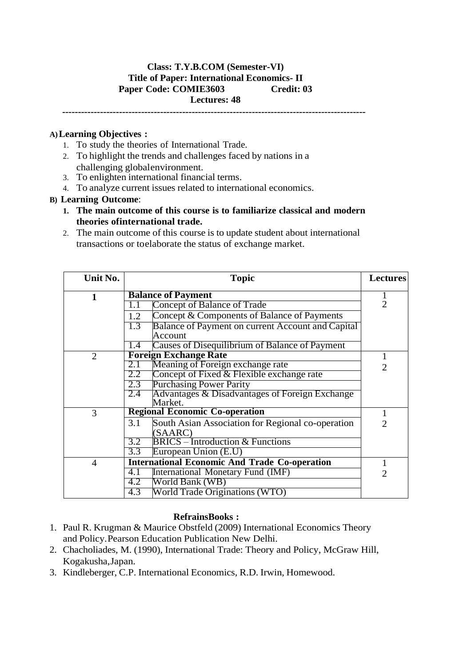# **Class: T.Y.B.COM (Semester-VI) Title of Paper: International Economics- II Paper Code: COMIE3603 Credit: 03 Lectures: 48**

**------------------------------------------------------------------------------------------------**

# **A)Learning Objectives :**

- 1. To study the theories of International Trade.
- 2. To highlight the trends and challenges faced by nations in a challenging globalenvironment.
- 3. To enlighten international financial terms.
- 4. To analyze current issues related to international economics.

#### **B) Learning Outcome**:

- **1. The main outcome of this course is to familiarize classical and modern theories ofinternational trade.**
- 2. The main outcome of this course is to update student about international transactions or toelaborate the status of exchange market.

| Unit No.       | <b>Topic</b>                                                    | <b>Lectures</b>             |
|----------------|-----------------------------------------------------------------|-----------------------------|
| 1              | <b>Balance of Payment</b>                                       |                             |
|                | Concept of Balance of Trade<br>1.1                              | 2                           |
|                | Concept & Components of Balance of Payments<br>1.2              |                             |
|                | 1.3<br>Balance of Payment on current Account and Capital        |                             |
|                | Account                                                         |                             |
|                | Causes of Disequilibrium of Balance of Payment<br>1.4           |                             |
| $\overline{2}$ | <b>Foreign Exchange Rate</b>                                    |                             |
|                | Meaning of Foreign exchange rate<br>2.1                         | $\overline{2}$              |
|                | $2.2^{\circ}$<br>Concept of Fixed & Flexible exchange rate      |                             |
|                | <b>Purchasing Power Parity</b><br>2.3                           |                             |
|                | $2.4^{\circ}$<br>Advantages & Disadvantages of Foreign Exchange |                             |
|                | Market.                                                         |                             |
| 3              | <b>Regional Economic Co-operation</b>                           |                             |
|                | 3.1<br>South Asian Association for Regional co-operation        | $\mathcal{D}_{\mathcal{L}}$ |
|                | (SAARC)                                                         |                             |
|                | <b>BRICS</b> – Introduction & Functions<br>3.2                  |                             |
|                | 3.3<br>European Union (E.U)                                     |                             |
| 4              | <b>International Economic And Trade Co-operation</b>            |                             |
|                | 4.1<br>International Monetary Fund (IMF)                        | $\mathcal{D}_{\cdot}$       |
|                | World Bank (WB)<br>4.2                                          |                             |
|                | 4.3<br>World Trade Originations (WTO)                           |                             |

#### **RefrainsBooks :**

- 1. Paul R. Krugman & Maurice Obstfeld (2009) International Economics Theory and Policy.Pearson Education Publication New Delhi.
- 2. Chacholiades, M. (1990), International Trade: Theory and Policy, McGraw Hill, Kogakusha,Japan.
- 3. Kindleberger, C.P. International Economics, R.D. Irwin, Homewood.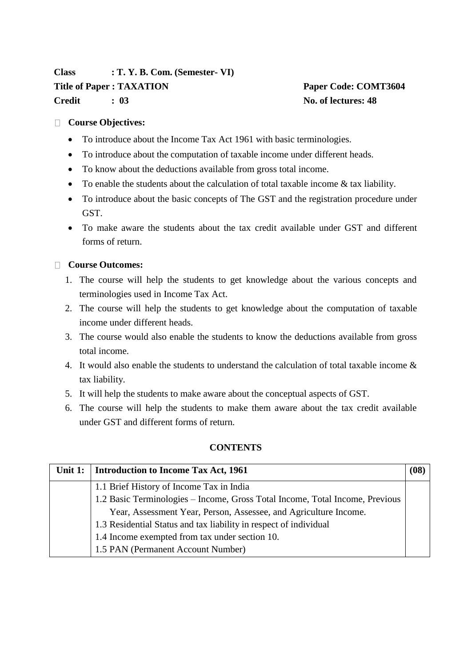# **Class : T. Y. B. Com. (Semester- VI) Title of Paper : TAXATION Paper Code: COMT3604 Credit : 03 No. of lectures: 48**

# **Course Objectives:**

- To introduce about the Income Tax Act 1961 with basic terminologies.
- To introduce about the computation of taxable income under different heads.
- To know about the deductions available from gross total income.
- To enable the students about the calculation of total taxable income & tax liability.
- To introduce about the basic concepts of The GST and the registration procedure under GST.
- To make aware the students about the tax credit available under GST and different forms of return.

# **Course Outcomes:**

- 1. The course will help the students to get knowledge about the various concepts and terminologies used in Income Tax Act.
- 2. The course will help the students to get knowledge about the computation of taxable income under different heads.
- 3. The course would also enable the students to know the deductions available from gross total income.
- 4. It would also enable the students to understand the calculation of total taxable income & tax liability.
- 5. It will help the students to make aware about the conceptual aspects of GST.
- 6. The course will help the students to make them aware about the tax credit available under GST and different forms of return.

# **CONTENTS**

| Unit 1: | Introduction to Income Tax Act, 1961                                         | <b>08</b> |
|---------|------------------------------------------------------------------------------|-----------|
|         | 1.1 Brief History of Income Tax in India                                     |           |
|         | 1.2 Basic Terminologies – Income, Gross Total Income, Total Income, Previous |           |
|         | Year, Assessment Year, Person, Assessee, and Agriculture Income.             |           |
|         | 1.3 Residential Status and tax liability in respect of individual            |           |
|         | 1.4 Income exempted from tax under section 10.                               |           |
|         | 1.5 PAN (Permanent Account Number)                                           |           |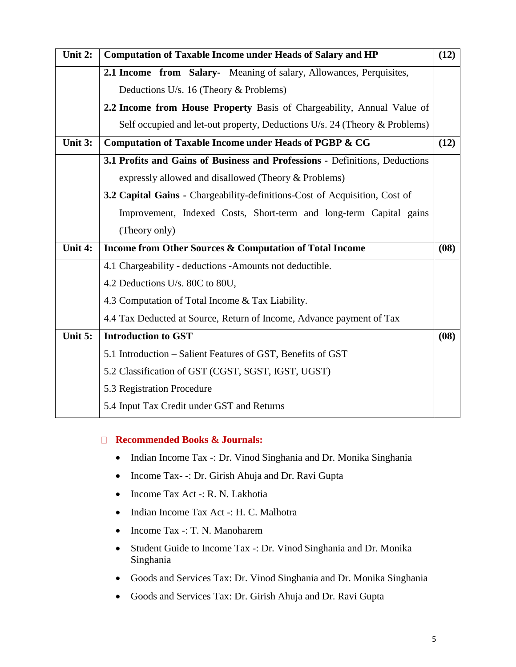| Unit 2: | <b>Computation of Taxable Income under Heads of Salary and HP</b>                 | (12) |
|---------|-----------------------------------------------------------------------------------|------|
|         | 2.1 Income from Salary-Meaning of salary, Allowances, Perquisites,                |      |
|         | Deductions U/s. 16 (Theory $&$ Problems)                                          |      |
|         | 2.2 Income from House Property Basis of Chargeability, Annual Value of            |      |
|         | Self occupied and let-out property, Deductions U/s. 24 (Theory & Problems)        |      |
| Unit 3: | Computation of Taxable Income under Heads of PGBP & CG                            | (12) |
|         | 3.1 Profits and Gains of Business and Professions - Definitions, Deductions       |      |
|         | expressly allowed and disallowed (Theory & Problems)                              |      |
|         | <b>3.2 Capital Gains - Chargeability-definitions-Cost of Acquisition, Cost of</b> |      |
|         | Improvement, Indexed Costs, Short-term and long-term Capital gains                |      |
|         | (Theory only)                                                                     |      |
| Unit 4: | Income from Other Sources & Computation of Total Income                           | (08) |
|         | 4.1 Chargeability - deductions -Amounts not deductible.                           |      |
|         | 4.2 Deductions U/s. 80C to 80U,                                                   |      |
|         | 4.3 Computation of Total Income & Tax Liability.                                  |      |
|         | 4.4 Tax Deducted at Source, Return of Income, Advance payment of Tax              |      |
| Unit 5: | <b>Introduction to GST</b>                                                        | (08) |
|         | 5.1 Introduction – Salient Features of GST, Benefits of GST                       |      |
|         | 5.2 Classification of GST (CGST, SGST, IGST, UGST)                                |      |
|         | 5.3 Registration Procedure                                                        |      |
|         | 5.4 Input Tax Credit under GST and Returns                                        |      |

# **Recommended Books & Journals:**

- Indian Income Tax -: Dr. Vinod Singhania and Dr. Monika Singhania
- Income Tax- -: Dr. Girish Ahuja and Dr. Ravi Gupta
- Income Tax Act -: R. N. Lakhotia
- Indian Income Tax Act -: H. C. Malhotra
- Income Tax -: T. N. Manoharem
- Student Guide to Income Tax -: Dr. Vinod Singhania and Dr. Monika Singhania
- Goods and Services Tax: Dr. Vinod Singhania and Dr. Monika Singhania
- Goods and Services Tax: Dr. Girish Ahuja and Dr. Ravi Gupta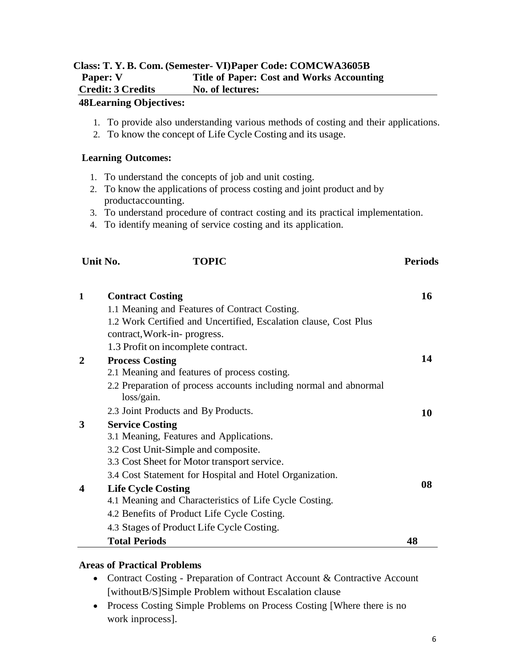# **Class: T. Y. B. Com. (Semester- VI)Paper Code: COMCWA3605B Paper: V Title of Paper: Cost and Works Accounting Credit: 3 Credits No. of lectures:**

#### **48Learning Objectives:**

- 1. To provide also understanding various methods of costing and their applications.
- 2. To know the concept of Life Cycle Costing and its usage.

### **Learning Outcomes:**

- 1. To understand the concepts of job and unit costing.
- 2. To know the applications of process costing and joint product and by productaccounting.
- 3. To understand procedure of contract costing and its practical implementation.

**Unit No. TOPIC Periods**

4. To identify meaning of service costing and its application.

| 1 | <b>Contract Costing</b>                                                         | 16 |
|---|---------------------------------------------------------------------------------|----|
|   | 1.1 Meaning and Features of Contract Costing.                                   |    |
|   | 1.2 Work Certified and Uncertified, Escalation clause, Cost Plus                |    |
|   | contract, Work-in- progress.                                                    |    |
|   | 1.3 Profit on incomplete contract.                                              |    |
| 2 | <b>Process Costing</b>                                                          | 14 |
|   | 2.1 Meaning and features of process costing.                                    |    |
|   | 2.2 Preparation of process accounts including normal and abnormal<br>loss/gain. |    |
|   | 2.3 Joint Products and By Products.                                             | 10 |
| 3 | <b>Service Costing</b>                                                          |    |
|   | 3.1 Meaning, Features and Applications.                                         |    |
|   | 3.2 Cost Unit-Simple and composite.                                             |    |
|   | 3.3 Cost Sheet for Motor transport service.                                     |    |
|   | 3.4 Cost Statement for Hospital and Hotel Organization.                         |    |
| 4 | <b>Life Cycle Costing</b>                                                       | 08 |
|   | 4.1 Meaning and Characteristics of Life Cycle Costing.                          |    |
|   | 4.2 Benefits of Product Life Cycle Costing.                                     |    |
|   | 4.3 Stages of Product Life Cycle Costing.                                       |    |
|   | <b>Total Periods</b>                                                            | 48 |

# **Areas of Practical Problems**

- Contract Costing Preparation of Contract Account & Contractive Account [withoutB/S]Simple Problem without Escalation clause
- Process Costing Simple Problems on Process Costing [Where there is no work inprocess].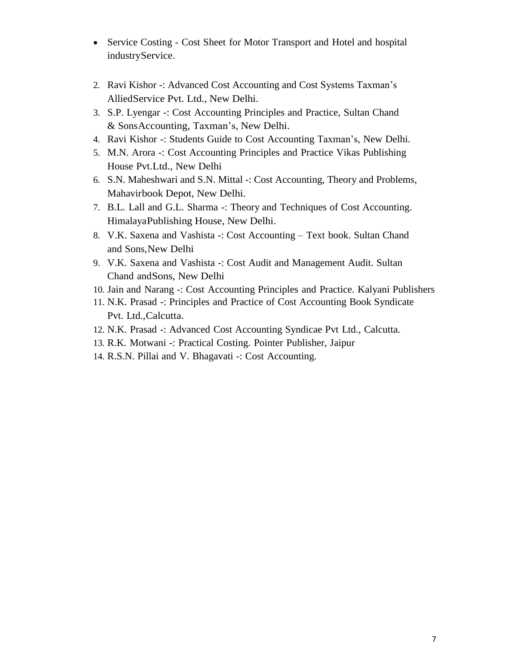- Service Costing Cost Sheet for Motor Transport and Hotel and hospital industryService.
- 2. Ravi Kishor -: Advanced Cost Accounting and Cost Systems Taxman's AlliedService Pvt. Ltd., New Delhi.
- 3. S.P. Lyengar -: Cost Accounting Principles and Practice, Sultan Chand & SonsAccounting, Taxman's, New Delhi.
- 4. Ravi Kishor -: Students Guide to Cost Accounting Taxman's, New Delhi.
- 5. M.N. Arora -: Cost Accounting Principles and Practice Vikas Publishing House Pvt.Ltd., New Delhi
- 6. S.N. Maheshwari and S.N. Mittal -: Cost Accounting, Theory and Problems, Mahavirbook Depot, New Delhi.
- 7. B.L. Lall and G.L. Sharma -: Theory and Techniques of Cost Accounting. HimalayaPublishing House, New Delhi.
- 8. V.K. Saxena and Vashista -: Cost Accounting Text book. Sultan Chand and Sons,New Delhi
- 9. V.K. Saxena and Vashista -: Cost Audit and Management Audit. Sultan Chand andSons, New Delhi
- 10. Jain and Narang -: Cost Accounting Principles and Practice. Kalyani Publishers
- 11. N.K. Prasad -: Principles and Practice of Cost Accounting Book Syndicate Pvt. Ltd.,Calcutta.
- 12. N.K. Prasad -: Advanced Cost Accounting Syndicae Pvt Ltd., Calcutta.
- 13. R.K. Motwani -: Practical Costing. Pointer Publisher, Jaipur
- 14. R.S.N. Pillai and V. Bhagavati -: Cost Accounting.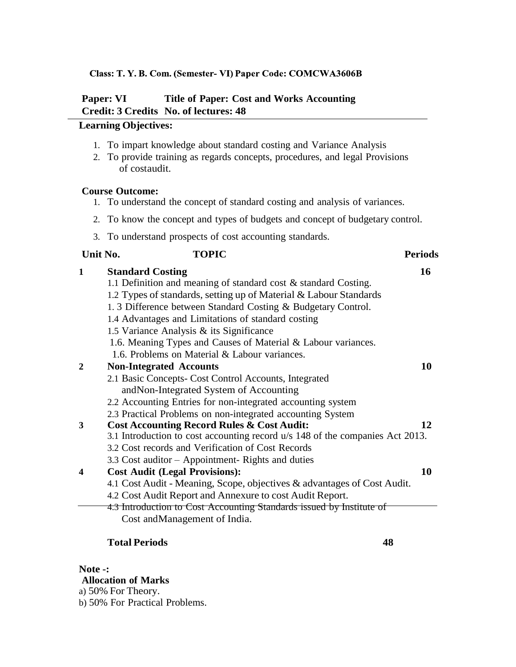#### Class: T.Y.B. Com. (Semester-VI) Paper Code: COMCWA3606B

# **Paper: VI Title of Paper: Cost and Works Accounting Credit: 3 Credits No. of lectures: 48**

# **Learning Objectives:**

- 1. To impart knowledge about standard costing and Variance Analysis
- 2. To provide training as regards concepts, procedures, and legal Provisions of costaudit.

#### **Course Outcome:**

- 1. To understand the concept of standard costing and analysis of variances.
- 2. To know the concept and types of budgets and concept of budgetary control.
- 3. To understand prospects of cost accounting standards.

#### **Unit No. TOPIC Periods**

| $\mathbf{1}$     | <b>Standard Costing</b>                                                       | 16 |
|------------------|-------------------------------------------------------------------------------|----|
|                  | 1.1 Definition and meaning of standard cost & standard Costing.               |    |
|                  | 1.2 Types of standards, setting up of Material & Labour Standards             |    |
|                  | 1.3 Difference between Standard Costing & Budgetary Control.                  |    |
|                  | 1.4 Advantages and Limitations of standard costing                            |    |
|                  | 1.5 Variance Analysis & its Significance                                      |    |
|                  | 1.6. Meaning Types and Causes of Material & Labour variances.                 |    |
|                  | 1.6. Problems on Material & Labour variances.                                 |    |
|                  | <b>Non-Integrated Accounts</b>                                                | 10 |
|                  | 2.1 Basic Concepts- Cost Control Accounts, Integrated                         |    |
|                  | andNon-Integrated System of Accounting                                        |    |
|                  | 2.2 Accounting Entries for non-integrated accounting system                   |    |
|                  | 2.3 Practical Problems on non-integrated accounting System                    |    |
| 3                | <b>Cost Accounting Record Rules &amp; Cost Audit:</b>                         | 12 |
|                  | 3.1 Introduction to cost accounting record u/s 148 of the companies Act 2013. |    |
|                  | 3.2 Cost records and Verification of Cost Records                             |    |
|                  | 3.3 Cost auditor – Appointment- Rights and duties                             |    |
| $\boldsymbol{4}$ | <b>Cost Audit (Legal Provisions):</b>                                         | 10 |
|                  | 4.1 Cost Audit - Meaning, Scope, objectives & advantages of Cost Audit.       |    |
|                  | 4.2 Cost Audit Report and Annexure to cost Audit Report.                      |    |
|                  | 4.3 Introduction to Cost Accounting Standards issued by Institute of          |    |
|                  | Cost and Management of India.                                                 |    |

#### **Total Periods 48**

**Note -: Allocation of Marks**

- a) 50% For Theory.
- b) 50% For Practical Problems.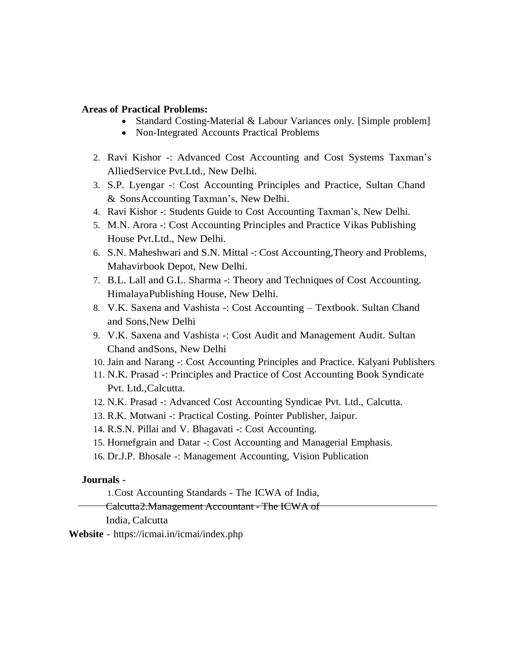#### **Areas of Practical Problems:**

- Standard Costing-Material & Labour Variances only. [Simple problem]
- Non-Integrated Accounts Practical Problems
- 2. Ravi Kishor -: Advanced Cost Accounting and Cost Systems Taxman's AlliedService Pvt.Ltd., New Delhi.
- 3. S.P. Lyengar -: Cost Accounting Principles and Practice, Sultan Chand & SonsAccounting Taxman's, New Delhi.
- 4. Ravi Kishor -: Students Guide to Cost Accounting Taxman's, New Delhi.
- 5. M.N. Arora -: Cost Accounting Principles and Practice Vikas Publishing House Pvt.Ltd., New Delhi.
- 6. S.N. Maheshwari and S.N. Mittal -: Cost Accounting,Theory and Problems, Mahavirbook Depot, New Delhi.
- 7. B.L. Lall and G.L. Sharma -: Theory and Techniques of Cost Accounting. HimalayaPublishing House, New Delhi.
- 8. V.K. Saxena and Vashista -: Cost Accounting Textbook. Sultan Chand and Sons,New Delhi
- 9. V.K. Saxena and Vashista -: Cost Audit and Management Audit. Sultan Chand andSons, New Delhi
- 10. Jain and Narang -: Cost Accounting Principles and Practice. Kalyani Publishers
- 11. N.K. Prasad -: Principles and Practice of Cost Accounting Book Syndicate Pvt. Ltd.,Calcutta.
- 12. N.K. Prasad -: Advanced Cost Accounting Syndicae Pvt. Ltd., Calcutta.
- 13. R.K. Motwani -: Practical Costing. Pointer Publisher, Jaipur.
- 14. R.S.N. Pillai and V. Bhagavati -: Cost Accounting.
- 15. Hornefgrain and Datar -: Cost Accounting and Managerial Emphasis.
- 16. Dr.J.P. Bhosale -: Management Accounting, Vision Publication

#### **Journals -**

- 1.Cost Accounting Standards The ICWA of India,
- Calcutta2.Management Accountant The ICWA of

India, Calcutta

**Website** - https://icmai.in/icmai/index.php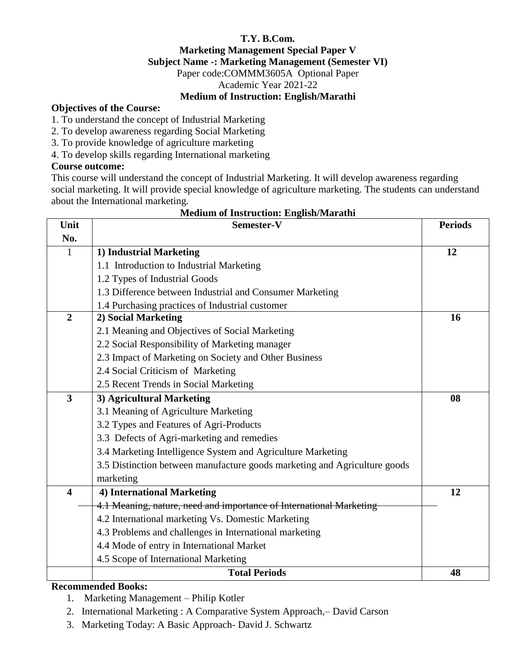# **T.Y. B.Com. Marketing Management Special Paper V Subject Name -: Marketing Management (Semester VI)** Paper code:COMMM3605A Optional Paper Academic Year 2021-22 **Medium of Instruction: English/Marathi**

# **Objectives of the Course:**

1. To understand the concept of Industrial Marketing

- 2. To develop awareness regarding Social Marketing
- 3. To provide knowledge of agriculture marketing

4. To develop skills regarding International marketing

# **Course outcome:**

This course will understand the concept of Industrial Marketing. It will develop awareness regarding social marketing. It will provide special knowledge of agriculture marketing. The students can understand about the International marketing.

| Unit                    | Semester-V                                                                | <b>Periods</b> |
|-------------------------|---------------------------------------------------------------------------|----------------|
| No.                     |                                                                           |                |
| $\mathbf{1}$            | 1) Industrial Marketing                                                   | 12             |
|                         | 1.1 Introduction to Industrial Marketing                                  |                |
|                         | 1.2 Types of Industrial Goods                                             |                |
|                         | 1.3 Difference between Industrial and Consumer Marketing                  |                |
|                         | 1.4 Purchasing practices of Industrial customer                           |                |
| $\overline{2}$          | 2) Social Marketing                                                       | 16             |
|                         | 2.1 Meaning and Objectives of Social Marketing                            |                |
|                         | 2.2 Social Responsibility of Marketing manager                            |                |
|                         | 2.3 Impact of Marketing on Society and Other Business                     |                |
|                         | 2.4 Social Criticism of Marketing                                         |                |
|                         | 2.5 Recent Trends in Social Marketing                                     |                |
| $\overline{\mathbf{3}}$ | 3) Agricultural Marketing                                                 | 08             |
|                         | 3.1 Meaning of Agriculture Marketing                                      |                |
|                         | 3.2 Types and Features of Agri-Products                                   |                |
|                         | 3.3 Defects of Agri-marketing and remedies                                |                |
|                         | 3.4 Marketing Intelligence System and Agriculture Marketing               |                |
|                         | 3.5 Distinction between manufacture goods marketing and Agriculture goods |                |
|                         | marketing                                                                 |                |
| $\overline{\mathbf{4}}$ | 4) International Marketing                                                | 12             |
|                         | 4.1 Meaning, nature, need and importance of International Marketing       |                |
|                         | 4.2 International marketing Vs. Domestic Marketing                        |                |
|                         | 4.3 Problems and challenges in International marketing                    |                |
|                         | 4.4 Mode of entry in International Market                                 |                |
|                         | 4.5 Scope of International Marketing                                      |                |
|                         | <b>Total Periods</b>                                                      | 48             |

#### **Medium of Instruction: English/Marathi**

# **Recommended Books:**

1. Marketing Management – Philip Kotler

2. International Marketing : A Comparative System Approach,– David Carson

3. Marketing Today: A Basic Approach- David J. Schwartz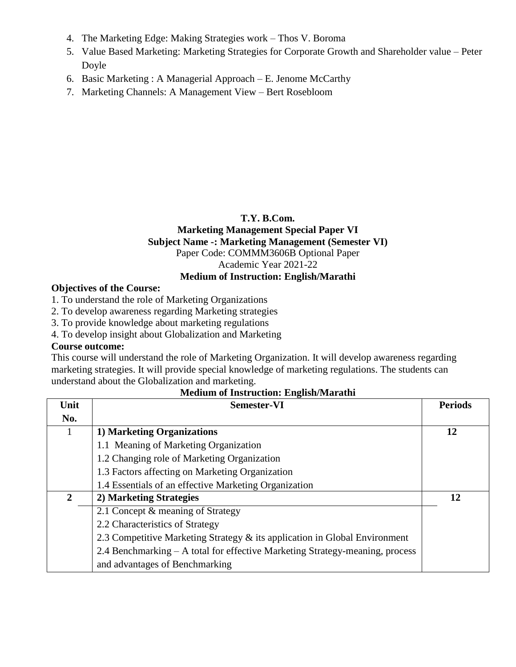- 4. The Marketing Edge: Making Strategies work Thos V. Boroma
- 5. Value Based Marketing: Marketing Strategies for Corporate Growth and Shareholder value Peter Doyle
- 6. Basic Marketing : A Managerial Approach E. Jenome McCarthy
- 7. Marketing Channels: A Management View Bert Rosebloom

# **T.Y. B.Com.**

# **Marketing Management Special Paper VI Subject Name -: Marketing Management (Semester VI)** Paper Code: COMMM3606B Optional Paper Academic Year 2021-22

#### **Medium of Instruction: English/Marathi**

# **Objectives of the Course:**

- 1. To understand the role of Marketing Organizations
- 2. To develop awareness regarding Marketing strategies
- 3. To provide knowledge about marketing regulations
- 4. To develop insight about Globalization and Marketing

#### **Course outcome:**

This course will understand the role of Marketing Organization. It will develop awareness regarding marketing strategies. It will provide special knowledge of marketing regulations. The students can understand about the Globalization and marketing.

| Unit         | <b>Semester-VI</b>                                                           | <b>Periods</b> |
|--------------|------------------------------------------------------------------------------|----------------|
| No.          |                                                                              |                |
|              | 1) Marketing Organizations                                                   | 12             |
|              | 1.1 Meaning of Marketing Organization                                        |                |
|              | 1.2 Changing role of Marketing Organization                                  |                |
|              | 1.3 Factors affecting on Marketing Organization                              |                |
|              | 1.4 Essentials of an effective Marketing Organization                        |                |
| $\mathbf{2}$ | 2) Marketing Strategies                                                      | 12             |
|              | 2.1 Concept & meaning of Strategy                                            |                |
|              | 2.2 Characteristics of Strategy                                              |                |
|              | 2.3 Competitive Marketing Strategy & its application in Global Environment   |                |
|              | 2.4 Benchmarking – A total for effective Marketing Strategy-meaning, process |                |
|              | and advantages of Benchmarking                                               |                |

# **Medium of Instruction: English/Marathi**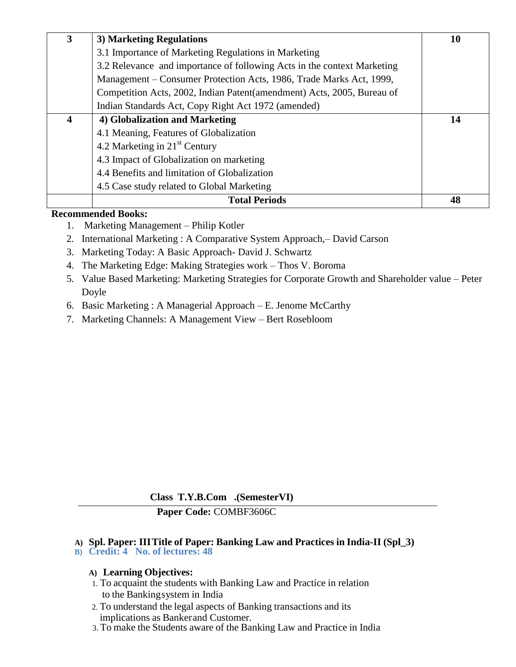| 3 | 3) Marketing Regulations                                                | 10 |
|---|-------------------------------------------------------------------------|----|
|   | 3.1 Importance of Marketing Regulations in Marketing                    |    |
|   | 3.2 Relevance and importance of following Acts in the context Marketing |    |
|   | Management – Consumer Protection Acts, 1986, Trade Marks Act, 1999,     |    |
|   | Competition Acts, 2002, Indian Patent (amendment) Acts, 2005, Bureau of |    |
|   | Indian Standards Act, Copy Right Act 1972 (amended)                     |    |
| 4 | 4) Globalization and Marketing                                          | 14 |
|   | 4.1 Meaning, Features of Globalization                                  |    |
|   | 4.2 Marketing in $21st$ Century                                         |    |
|   | 4.3 Impact of Globalization on marketing                                |    |
|   | 4.4 Benefits and limitation of Globalization                            |    |
|   | 4.5 Case study related to Global Marketing                              |    |
|   | <b>Total Periods</b>                                                    | 48 |

#### **Recommended Books:**

- 1. Marketing Management Philip Kotler
- 2. International Marketing : A Comparative System Approach,– David Carson
- 3. Marketing Today: A Basic Approach- David J. Schwartz
- 4. The Marketing Edge: Making Strategies work Thos V. Boroma
- 5. Value Based Marketing: Marketing Strategies for Corporate Growth and Shareholder value Peter Doyle
- 6. Basic Marketing : A Managerial Approach E. Jenome McCarthy
- 7. Marketing Channels: A Management View Bert Rosebloom

**Class T.Y.B.Com .(SemesterVI)**

# **Paper Code:** COMBF3606C

# **A) Spl. Paper: IIITitle of Paper: Banking Law and Practices in India-II (Spl\_3)**

**B) Credit: 4 No. of lectures: 48**

# **A) Learning Objectives:**

- 1. To acquaint the students with Banking Law and Practice in relation to the Bankingsystem in India
- 2. To understand the legal aspects of Banking transactions and its implications as Bankerand Customer.
- 3. To make the Students aware of the Banking Law and Practice in India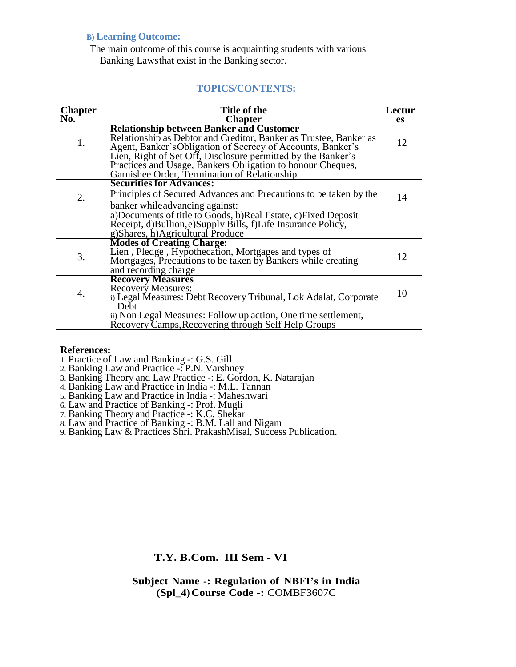#### **B) Learning Outcome:**

The main outcome of this course is acquainting students with various Banking Lawsthat exist in the Banking sector.

# **TOPICS/CONTENTS:**

| <b>Chapter</b> | Title of the                                                                                                                                                                                                                                                                                                                                                      | Lectur |
|----------------|-------------------------------------------------------------------------------------------------------------------------------------------------------------------------------------------------------------------------------------------------------------------------------------------------------------------------------------------------------------------|--------|
| No.            | <b>Chapter</b>                                                                                                                                                                                                                                                                                                                                                    | es     |
| 1.             | <b>Relationship between Banker and Customer</b><br>Relationship as Debtor and Creditor, Banker as Trustee, Banker as<br>Agent, Banker's Obligation of Secrecy of Accounts, Banker's<br>Lien, Right of Set Off, Disclosure permitted by the Banker's<br>Practices and Usage, Bankers Obligation to honour Cheques,<br>Garnishee Order, Termination of Relationship | 12     |
|                | <b>Securities for Advances:</b>                                                                                                                                                                                                                                                                                                                                   |        |
| 2.             | Principles of Secured Advances and Precautions to be taken by the<br>banker while advancing against:                                                                                                                                                                                                                                                              | 14     |
|                | a)Documents of title to Goods, b)Real Estate, c)Fixed Deposit<br>Receipt, d)Bullion, e)Supply Bills, f)Life Insurance Policy,<br>g)Shares, h)Agricultural Produce                                                                                                                                                                                                 |        |
| 3.             | <b>Modes of Creating Charge:</b><br>Lien, Pledge, Hypothecation, Mortgages and types of<br>Mortgages, Precautions to be taken by Bankers while creating<br>and recording charge                                                                                                                                                                                   | 12     |
| 4.             | <b>Recovery Measures</b><br><b>Recovery Measures:</b><br>i) Legal Measures: Debt Recovery Tribunal, Lok Adalat, Corporate<br>Debt                                                                                                                                                                                                                                 | 10     |
|                | ii) Non Legal Measures: Follow up action, One time settlement,<br>Recovery Camps, Recovering through Self Help Groups                                                                                                                                                                                                                                             |        |

#### **References:**

- 1. Practice of Law and Banking -: G.S. Gill
- 2. Banking Law and Practice -: P.N. Varshney
- 3. Banking Theory and Law Practice -: E. Gordon, K. Natarajan
- 4. Banking Law and Practice in India -: M.L. Tannan
- 5. Banking Law and Practice in India -: Maheshwari
- 6. Law and Practice of Banking -: Prof. Mugli
- 7. Banking Theory and Practice -: K.C. Shekar
- 8. Law and Practice of Banking -: B.M. Lall and Nigam
- 9. Banking Law & Practices Shri. PrakashMisal, Success Publication.

# **T.Y. B.Com. III Sem - VI**

**Subject Name -: Regulation of NBFI's in India (Spl\_4)Course Code -:** COMBF3607C